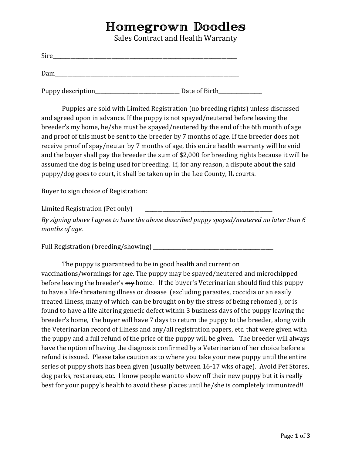## Homegrown Doodles

Sales Contract and Health Warranty

| Sire |  |  |
|------|--|--|
|      |  |  |
| Dam  |  |  |

Puppy description\_\_\_\_\_\_\_\_\_\_\_\_\_\_\_\_\_\_\_\_\_\_\_\_\_\_\_\_\_\_\_\_\_ Date of Birth\_\_\_\_\_\_\_\_\_\_\_\_\_\_\_\_\_

Puppies are sold with Limited Registration (no breeding rights) unless discussed and agreed upon in advance. If the puppy is not spayed/neutered before leaving the breeder's my home, he/she must be spayed/neutered by the end of the 6th month of age and proof of this must be sent to the breeder by 7 months of age. If the breeder does not receive proof of spay/neuter by 7 months of age, this entire health warranty will be void and the buyer shall pay the breeder the sum of \$2,000 for breeding rights because it will be assumed the dog is being used for breeding. If, for any reason, a dispute about the said puppy/dog goes to court, it shall be taken up in the Lee County, IL courts.

Buyer to sign choice of Registration:

Limited Registration (Pet only)

*By signing above I agree to have the above described puppy spayed/neutered no later than 6 months of age.*

Full Registration (breeding/showing) \_\_\_\_\_\_\_\_\_\_\_\_\_\_\_\_\_\_\_\_\_\_\_\_\_\_\_\_\_\_\_\_\_\_\_\_\_\_\_\_\_\_\_\_\_\_\_

The puppy is guaranteed to be in good health and current on vaccinations/wormings for age. The puppy may be spayed/neutered and microchipped before leaving the breeder's  $m_y$  home. If the buyer's Veterinarian should find this puppy to have a life-threatening illness or disease (excluding parasites, coccidia or an easily treated illness, many of which can be brought on by the stress of being rehomed ), or is found to have a life altering genetic defect within 3 business days of the puppy leaving the breeder's home, the buyer will have 7 days to return the puppy to the breeder, along with the Veterinarian record of illness and any/all registration papers, etc. that were given with the puppy and a full refund of the price of the puppy will be given. The breeder will always have the option of having the diagnosis confirmed by a Veterinarian of her choice before a refund is issued. Please take caution as to where you take your new puppy until the entire series of puppy shots has been given (usually between 16-17 wks of age). Avoid Pet Stores, dog parks, rest areas, etc. I know people want to show off their new puppy but it is really best for your puppy's health to avoid these places until he/she is completely immunized!!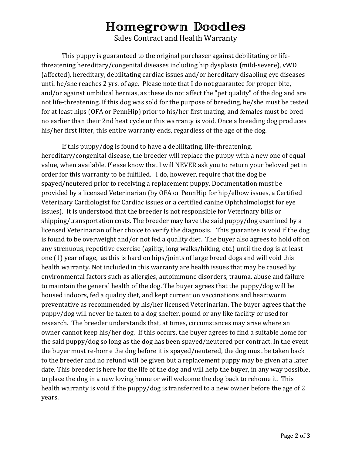## Homegrown Doodles

Sales Contract and Health Warranty

This puppy is guaranteed to the original purchaser against debilitating or lifethreatening hereditary/congenital diseases including hip dysplasia (mild-severe), vWD (affected), hereditary, debilitating cardiac issues and/or hereditary disabling eye diseases until he/she reaches 2 yrs. of age. Please note that I do not guarantee for proper bite, and/or against umbilical hernias, as these do not affect the "pet quality" of the dog and are not life-threatening. If this dog was sold for the purpose of breeding, he/she must be tested for at least hips (OFA or PennHip) prior to his/her first mating, and females must be bred no earlier than their 2nd heat cycle or this warranty is void. Once a breeding dog produces his/her first litter, this entire warranty ends, regardless of the age of the dog.

If this puppy/dog is found to have a debilitating, life-threatening, hereditary/congenital disease, the breeder will replace the puppy with a new one of equal value, when available. Please know that I will NEVER ask you to return your beloved pet in order for this warranty to be fulfilled. I do, however, require that the dog be spayed/neutered prior to receiving a replacement puppy. Documentation must be provided by a licensed Veterinarian (by OFA or PennHip for hip/elbow issues, a Certified Veterinary Cardiologist for Cardiac issues or a certified canine Ophthalmologist for eye issues). It is understood that the breeder is not responsible for Veterinary bills or shipping/transportation costs. The breeder may have the said puppy/dog examined by a licensed Veterinarian of her choice to verify the diagnosis. This guarantee is void if the dog is found to be overweight and/or not fed a quality diet. The buyer also agrees to hold off on any strenuous, repetitive exercise (agility, long walks/hiking, etc.) until the dog is at least one (1) year of age, as this is hard on hips/joints of large breed dogs and will void this health warranty. Not included in this warranty are health issues that may be caused by environmental factors such as allergies, autoimmune disorders, trauma, abuse and failure to maintain the general health of the dog. The buyer agrees that the puppy/dog will be housed indoors, fed a quality diet, and kept current on vaccinations and heartworm preventative as recommended by his/her licensed Veterinarian. The buyer agrees that the puppy/dog will never be taken to a dog shelter, pound or any like facility or used for research. The breeder understands that, at times, circumstances may arise where an owner cannot keep his/her dog. If this occurs, the buyer agrees to find a suitable home for the said puppy/dog so long as the dog has been spayed/neutered per contract. In the event the buyer must re-home the dog before it is spayed/neutered, the dog must be taken back to the breeder and no refund will be given but a replacement puppy may be given at a later date. This breeder is here for the life of the dog and will help the buyer, in any way possible, to place the dog in a new loving home or will welcome the dog back to rehome it. This health warranty is void if the puppy/dog is transferred to a new owner before the age of 2 years.